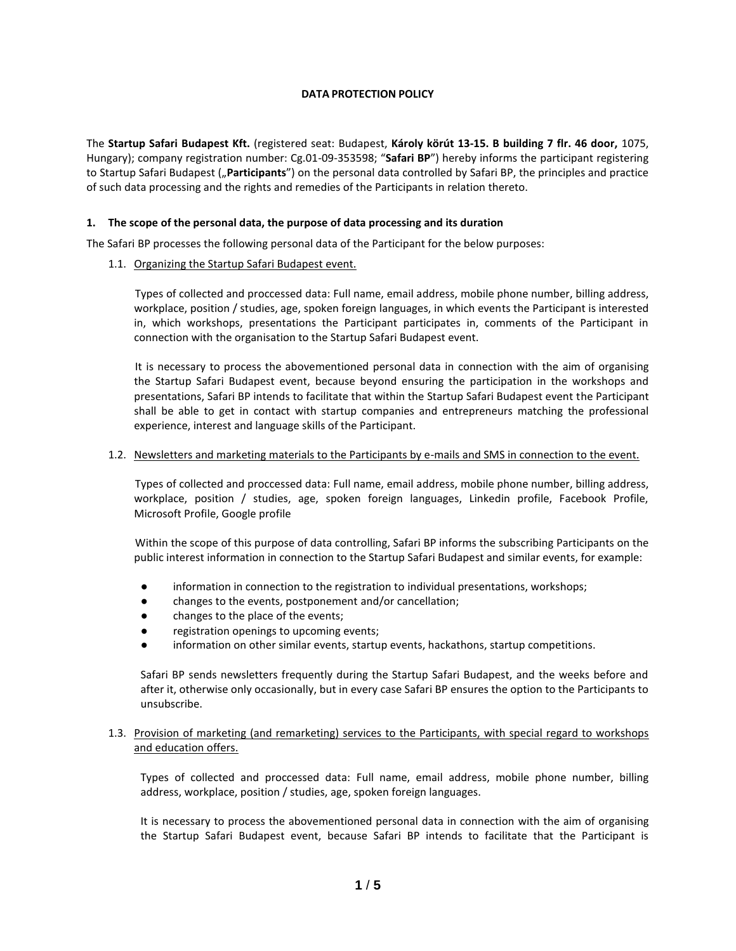### **DATA PROTECTION POLICY**

The **Startup Safari Budapest Kft.** (registered seat: Budapest, **Károly körút 13-15. B building 7 flr. 46 door,** 1075, Hungary); company registration number: Cg.01-09-353598; "**Safari BP**") hereby informs the participant registering to Startup Safari Budapest ("**Participants**") on the personal data controlled by Safari BP, the principles and practice of such data processing and the rights and remedies of the Participants in relation thereto.

### **1. The scope of the personal data, the purpose of data processing and its duration**

The Safari BP processes the following personal data of the Participant for the below purposes:

1.1. Organizing the Startup Safari Budapest event.

Types of collected and proccessed data: Full name, email address, mobile phone number, billing address, workplace, position / studies, age, spoken foreign languages, in which events the Participant is interested in, which workshops, presentations the Participant participates in, comments of the Participant in connection with the organisation to the Startup Safari Budapest event.

It is necessary to process the abovementioned personal data in connection with the aim of organising the Startup Safari Budapest event, because beyond ensuring the participation in the workshops and presentations, Safari BP intends to facilitate that within the Startup Safari Budapest event the Participant shall be able to get in contact with startup companies and entrepreneurs matching the professional experience, interest and language skills of the Participant.

### 1.2. Newsletters and marketing materials to the Participants by e-mails and SMS in connection to the event.

Types of collected and proccessed data: Full name, email address, mobile phone number, billing address, workplace, position / studies, age, spoken foreign languages, Linkedin profile, Facebook Profile, Microsoft Profile, Google profile

Within the scope of this purpose of data controlling, Safari BP informs the subscribing Participants on the public interest information in connection to the Startup Safari Budapest and similar events, for example:

- information in connection to the registration to individual presentations, workshops;
- changes to the events, postponement and/or cancellation;
- changes to the place of the events;
- registration openings to upcoming events;
- information on other similar events, startup events, hackathons, startup competitions.

Safari BP sends newsletters frequently during the Startup Safari Budapest, and the weeks before and after it, otherwise only occasionally, but in every case Safari BP ensures the option to the Participants to unsubscribe.

### 1.3. Provision of marketing (and remarketing) services to the Participants, with special regard to workshops and education offers.

Types of collected and proccessed data: Full name, email address, mobile phone number, billing address, workplace, position / studies, age, spoken foreign languages.

It is necessary to process the abovementioned personal data in connection with the aim of organising the Startup Safari Budapest event, because Safari BP intends to facilitate that the Participant is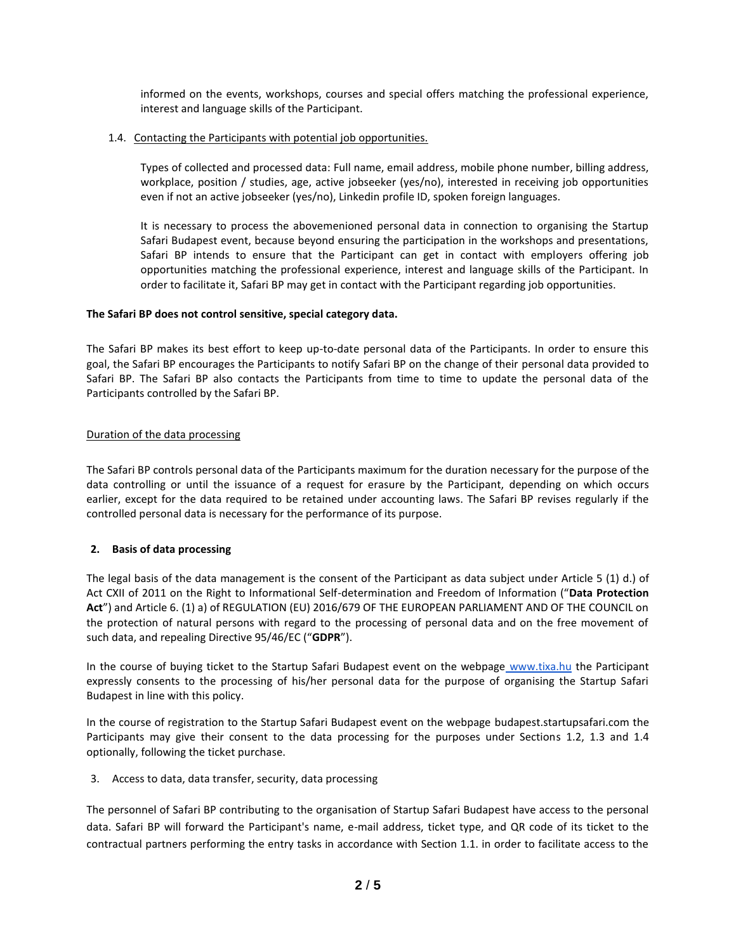informed on the events, workshops, courses and special offers matching the professional experience, interest and language skills of the Participant.

### 1.4. Contacting the Participants with potential job opportunities.

Types of collected and processed data: Full name, email address, mobile phone number, billing address, workplace, position / studies, age, active jobseeker (yes/no), interested in receiving job opportunities even if not an active jobseeker (yes/no), Linkedin profile ID, spoken foreign languages.

It is necessary to process the abovemenioned personal data in connection to organising the Startup Safari Budapest event, because beyond ensuring the participation in the workshops and presentations, Safari BP intends to ensure that the Participant can get in contact with employers offering job opportunities matching the professional experience, interest and language skills of the Participant. In order to facilitate it, Safari BP may get in contact with the Participant regarding job opportunities.

# **The Safari BP does not control sensitive, special category data.**

The Safari BP makes its best effort to keep up-to-date personal data of the Participants. In order to ensure this goal, the Safari BP encourages the Participants to notify Safari BP on the change of their personal data provided to Safari BP. The Safari BP also contacts the Participants from time to time to update the personal data of the Participants controlled by the Safari BP.

# Duration of the data processing

The Safari BP controls personal data of the Participants maximum for the duration necessary for the purpose of the data controlling or until the issuance of a request for erasure by the Participant, depending on which occurs earlier, except for the data required to be retained under accounting laws. The Safari BP revises regularly if the controlled personal data is necessary for the performance of its purpose.

# **2. Basis of data processing**

The legal basis of the data management is the consent of the Participant as data subject under Article 5 (1) d.) of Act CXII of 2011 on the Right to Informational Self-determination and Freedom of Information ("**Data Protection Act**") and Article 6. (1) a) of REGULATION (EU) 2016/679 OF THE EUROPEAN PARLIAMENT AND OF THE COUNCIL on the protection of natural persons with regard to the processing of personal data and on the free movement of such data, and repealing Directive 95/46/EC ("**GDPR**").

In the course of buying ticket to the Startup Safari Budapest event on the webpage [www.tixa.hu](http://www.tixa.hu/) the Participant expressly consents to the processing of his/her personal data for the purpose of organising the Startup Safari Budapest in line with this policy.

In the course of registration to the Startup Safari Budapest event on the webpage [budapest.startupsafari.com](http://budapest.startupsafari.com/) the Participants may give their consent to the data processing for the purposes under Sections 1.2, 1.3 and 1.4 optionally, following the ticket purchase.

3. Access to data, data transfer, security, data processing

The personnel of Safari BP contributing to the organisation of Startup Safari Budapest have access to the personal data. Safari BP will forward the Participant's name, e-mail address, ticket type, and QR code of its ticket to the contractual partners performing the entry tasks in accordance with Section 1.1. in order to facilitate access to the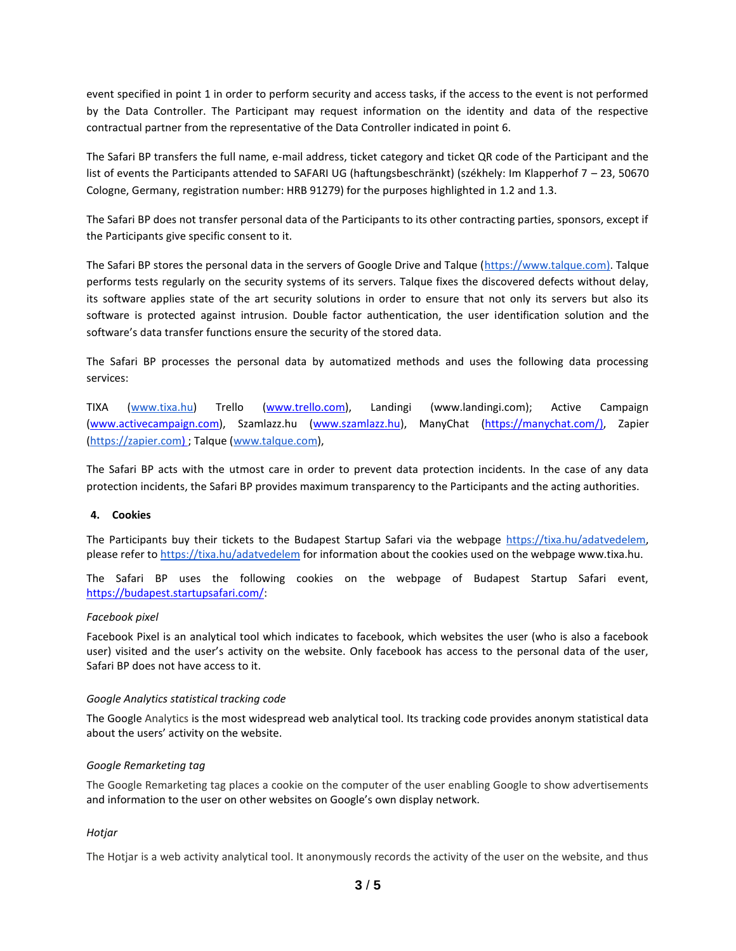event specified in point 1 in order to perform security and access tasks, if the access to the event is not performed by the Data Controller. The Participant may request information on the identity and data of the respective contractual partner from the representative of the Data Controller indicated in point 6.

The Safari BP transfers the full name, e-mail address, ticket category and ticket QR code of the Participant and the list of events the Participants attended to SAFARI UG (haftungsbeschränkt) (székhely: Im Klapperhof 7 – 23, 50670 Cologne, Germany, registration number: HRB 91279) for the purposes highlighted in 1.2 and 1.3.

The Safari BP does not transfer personal data of the Participants to its other contracting parties, sponsors, except if the Participants give specific consent to it.

The Safari BP stores the personal data in the servers of Google Drive and Talque [\(https://www.talque.com\)](https://www.talque.com/). Talque performs tests regularly on the security systems of its servers. Talque fixes the discovered defects without delay, its software applies state of the art security solutions in order to ensure that not only its servers but also its software is protected against intrusion. Double factor authentication, the user identification solution and the software's data transfer functions ensure the security of the stored data.

The Safari BP processes the personal data by automatized methods and uses the following data processing services:

TIXA [\(www.tixa.hu\)](http://www.tixa.hu/) Trello [\(www.trello.com\)](http://www.trello.com/), Landingi (www.landingi.com); Active Campaign [\(www.activecampaign.com\)](http://www.activecampaign.com/), Szamlazz.hu [\(www.szamlazz.hu\)](http://www.szamlazz.hu/), ManyChat [\(https://manychat.com/\)](https://manychat.com/), Zapier [\(https://zapier.com\)](https://zapier.com/) ; Talque [\(www.talque.com\)](http://www.talque.com/),

The Safari BP acts with the utmost care in order to prevent data protection incidents. In the case of any data protection incidents, the Safari BP provides maximum transparency to the Participants and the acting authorities.

### **4. Cookies**

The Participants buy their tickets to the Budapest Startup Safari via the webpage [https://tixa.hu/adatvedelem,](https://tixa.hu/adatvedelem) please refer t[o https://tixa.hu/adatvedelem](https://tixa.hu/adatvedelem) for information about the cookies used on the webpage www.tixa.hu.

The Safari BP uses the following cookies on the webpage of Budapest Startup Safari event, [https://budapest.startupsafari.com/:](https://budapest.startupsafary.com/)

#### *Facebook pixel*

Facebook Pixel is an analytical tool which indicates to facebook, which websites the user (who is also a facebook user) visited and the user's activity on the website. Only facebook has access to the personal data of the user, Safari BP does not have access to it.

#### *Google Analytics statistical tracking code*

The Google Analytics is the most widespread web analytical tool. Its tracking code provides anonym statistical data about the users' activity on the website.

#### *Google Remarketing tag*

The Google Remarketing tag places a cookie on the computer of the user enabling Google to show advertisements and information to the user on other websites on Google's own display network.

### *Hotjar*

The Hotjar is a web activity analytical tool. It anonymously records the activity of the user on the website, and thus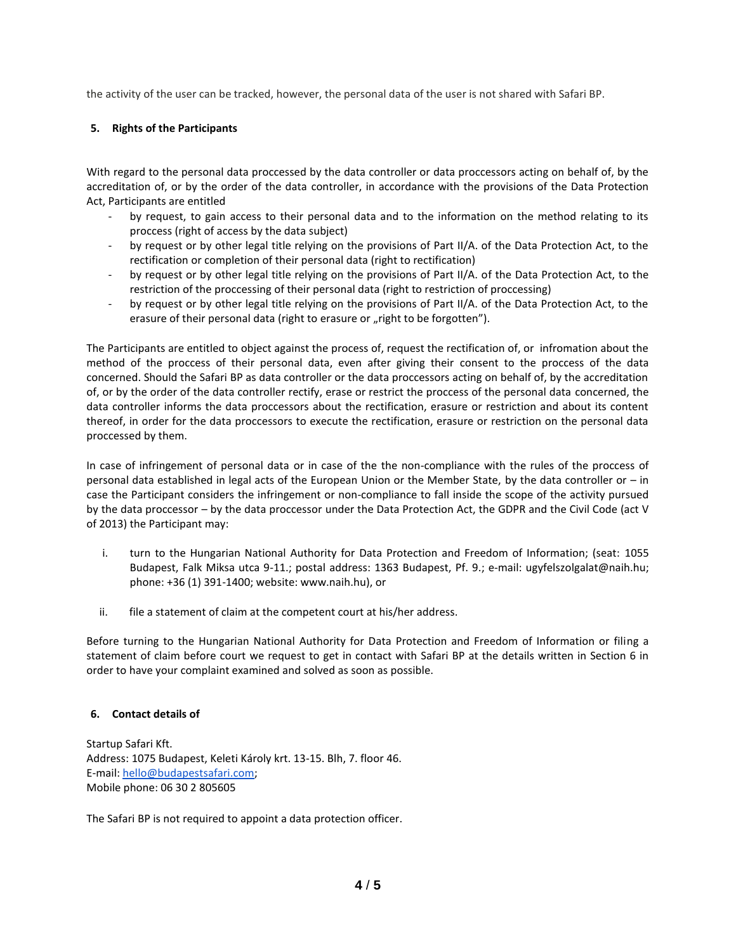the activity of the user can be tracked, however, the personal data of the user is not shared with Safari BP.

## **5. Rights of the Participants**

With regard to the personal data proccessed by the data controller or data proccessors acting on behalf of, by the accreditation of, or by the order of the data controller, in accordance with the provisions of the Data Protection Act, Participants are entitled

- by request, to gain access to their personal data and to the information on the method relating to its proccess (right of access by the data subject)
- by request or by other legal title relying on the provisions of Part II/A. of the Data Protection Act, to the rectification or completion of their personal data (right to rectification)
- by request or by other legal title relying on the provisions of Part II/A. of the Data Protection Act, to the restriction of the proccessing of their personal data (right to restriction of proccessing)
- by request or by other legal title relying on the provisions of Part II/A. of the Data Protection Act, to the erasure of their personal data (right to erasure or "right to be forgotten").

The Participants are entitled to object against the process of, request the rectification of, or infromation about the method of the proccess of their personal data, even after giving their consent to the proccess of the data concerned. Should the Safari BP as data controller or the data proccessors acting on behalf of, by the accreditation of, or by the order of the data controller rectify, erase or restrict the proccess of the personal data concerned, the data controller informs the data proccessors about the rectification, erasure or restriction and about its content thereof, in order for the data proccessors to execute the rectification, erasure or restriction on the personal data proccessed by them.

In case of infringement of personal data or in case of the the non-compliance with the rules of the proccess of personal data established in legal acts of the European Union or the Member State, by the data controller or – in case the Participant considers the infringement or non-compliance to fall inside the scope of the activity pursued by the data proccessor – by the data proccessor under the Data Protection Act, the GDPR and the Civil Code (act V of 2013) the Participant may:

- i. turn to the Hungarian National Authority for Data Protection and Freedom of Information; (seat: 1055 Budapest, Falk Miksa utca 9-11.; postal address: 1363 Budapest, Pf. 9.; e-mail: ugyfelszolgalat@naih.hu; phone: +36 (1) 391-1400; website: www.naih.hu), or
- ii. file a statement of claim at the competent court at his/her address.

Before turning to the Hungarian National Authority for Data Protection and Freedom of Information or filing a statement of claim before court we request to get in contact with Safari BP at the details written in Section 6 in order to have your complaint examined and solved as soon as possible.

### **6. Contact details of**

Startup Safari Kft. Address: 1075 Budapest, Keleti Károly krt. 13-15. Blh, 7. floor 46. E-mail: [hello@budapestsafari.com;](mailto:hello@budapestsafari.com) Mobile phone: 06 30 2 805605

The Safari BP is not required to appoint a data protection officer.